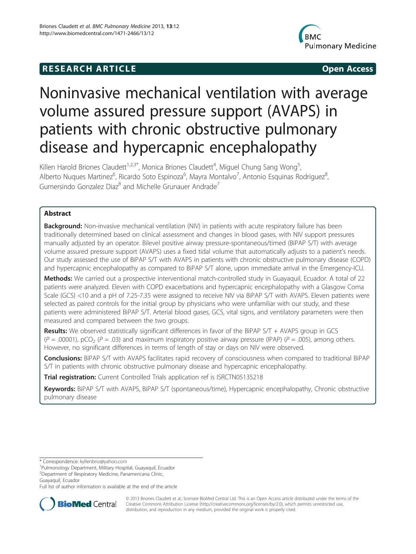# **RESEARCH ARTICLE CONSUMING A RESEARCH ARTICLE**



# Noninvasive mechanical ventilation with average volume assured pressure support (AVAPS) in patients with chronic obstructive pulmonary disease and hypercapnic encephalopathy

Killen Harold Briones Claudett<sup>1,2,3\*</sup>, Monica Briones Claudett<sup>4</sup>, Miguel Chung Sang Wong<sup>5</sup> , Alberto Nuques Martinez<sup>6</sup>, Ricardo Soto Espinoza<sup>6</sup>, Mayra Montalvo<sup>7</sup>, Antonio Esquinas Rodriguez<sup>8</sup> , Gumersindo Gonzalez Diaz<sup>8</sup> and Michelle Grunauer Andrade<sup>7</sup>

# Abstract

Background: Non-invasive mechanical ventilation (NIV) in patients with acute respiratory failure has been traditionally determined based on clinical assessment and changes in blood gases, with NIV support pressures manually adjusted by an operator. Bilevel positive airway pressure-spontaneous/timed (BiPAP S/T) with average volume assured pressure support (AVAPS) uses a fixed tidal volume that automatically adjusts to a patient's needs. Our study assessed the use of BiPAP S/T with AVAPS in patients with chronic obstructive pulmonary disease (COPD) and hypercapnic encephalopathy as compared to BiPAP S/T alone, upon immediate arrival in the Emergency-ICU.

Methods: We carried out a prospective interventional match-controlled study in Guayaquil, Ecuador. A total of 22 patients were analyzed. Eleven with COPD exacerbations and hypercapnic encephalopathy with a Glasgow Coma Scale (GCS) <10 and a pH of 7.25-7.35 were assigned to receive NIV via BiPAP S/T with AVAPS. Eleven patients were selected as paired controls for the initial group by physicians who were unfamiliar with our study, and these patients were administered BiPAP S/T. Arterial blood gases, GCS, vital signs, and ventilatory parameters were then measured and compared between the two groups.

Results: We observed statistically significant differences in favor of the BiPAP S/T + AVAPS group in GCS  $(P = .00001)$ , pCO<sub>2</sub> (P = .03) and maximum inspiratory positive airway pressure (IPAP) (P = .005), among others. However, no significant differences in terms of length of stay or days on NIV were observed.

Conclusions: BIPAP S/T with AVAPS facilitates rapid recovery of consciousness when compared to traditional BIPAP S/T in patients with chronic obstructive pulmonary disease and hypercapnic encephalopathy.

Trial registration: Current Controlled Trials application ref is [ISRCTN05135218](http://www.controlled-trials.com/ISRCTN05135218 )

Keywords: BiPAP S/T with AVAPS, BiPAP S/T (spontaneous/time), Hypercapnic encephalopathy, Chronic obstructive pulmonary disease

Full list of author information is available at the end of the article



© 2013 Briones Claudett et al.; licensee BioMed Central Ltd. This is an Open Access article distributed under the terms of the Creative Commons Attribution License (<http://creativecommons.org/licenses/by/2.0>), which permits unrestricted use, distribution, and reproduction in any medium, provided the original work is properly cited.

<sup>\*</sup> Correspondence: [kyllenbrio@yahoo.com](mailto:kyllenbrio@yahoo.com) <sup>1</sup>

<sup>&</sup>lt;sup>1</sup>Pulmonology Department, Military Hospital, Guayaquil, Ecuador

<sup>2</sup> Department of Respiratory Medicine, Panamericana Clinic,

Guayaquil, Ecuador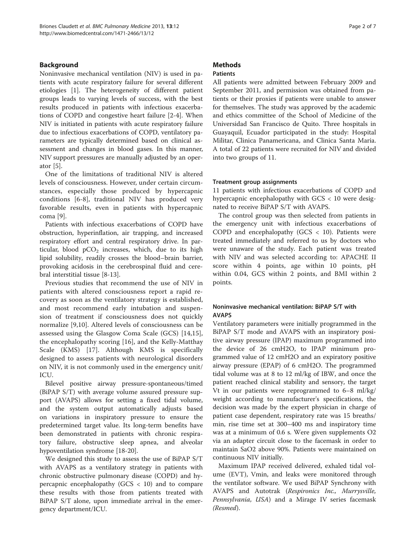# Background

Noninvasive mechanical ventilation (NIV) is used in patients with acute respiratory failure for several different etiologies [[1\]](#page-5-0). The heterogeneity of different patient groups leads to varying levels of success, with the best results produced in patients with infectious exacerbations of COPD and congestive heart failure [\[2](#page-5-0)-[4\]](#page-6-0). When NIV is initiated in patients with acute respiratory failure due to infectious exacerbations of COPD, ventilatory parameters are typically determined based on clinical assessment and changes in blood gases. In this manner, NIV support pressures are manually adjusted by an operator [\[5](#page-6-0)].

One of the limitations of traditional NIV is altered levels of consciousness. However, under certain circumstances, especially those produced by hypercapnic conditions [[6-8](#page-6-0)], traditional NIV has produced very favorable results, even in patients with hypercapnic coma [[9](#page-6-0)].

Patients with infectious exacerbations of COPD have obstruction, hyperinflation, air trapping, and increased respiratory effort and central respiratory drive. In particular, blood  $pCO<sub>2</sub>$  increases, which, due to its high lipid solubility, readily crosses the blood–brain barrier, provoking acidosis in the cerebrospinal fluid and cerebral interstitial tissue [[8-13](#page-6-0)].

Previous studies that recommend the use of NIV in patients with altered consciousness report a rapid recovery as soon as the ventilatory strategy is established, and most recommend early intubation and suspension of treatment if consciousness does not quickly normalize [[9,10\]](#page-6-0). Altered levels of consciousness can be assessed using the Glasgow Coma Scale (GCS) [[14,15](#page-6-0)], the encephalopathy scoring [[16](#page-6-0)], and the Kelly-Matthay Scale (KMS) [[17\]](#page-6-0). Although KMS is specifically designed to assess patients with neurological disorders on NIV, it is not commonly used in the emergency unit/ ICU.

Bilevel positive airway pressure-spontaneous/timed (BiPAP S/T) with average volume assured pressure support (AVAPS) allows for setting a fixed tidal volume, and the system output automatically adjusts based on variations in inspiratory pressure to ensure the predetermined target value. Its long-term benefits have been demonstrated in patients with chronic respiratory failure, obstructive sleep apnea, and alveolar hypoventilation syndrome [\[18](#page-6-0)-[20](#page-6-0)].

We designed this study to assess the use of BiPAP S/T with AVAPS as a ventilatory strategy in patients with chronic obstructive pulmonary disease (COPD) and hypercapnic encephalopathy (GCS < 10) and to compare these results with those from patients treated with BiPAP S/T alone, upon immediate arrival in the emergency department/ICU.

# **Methods**

# Patients

All patients were admitted between February 2009 and September 2011, and permission was obtained from patients or their proxies if patients were unable to answer for themselves. The study was approved by the academic and ethics committee of the School of Medicine of the Universidad San Francisco de Quito. Three hospitals in Guayaquil, Ecuador participated in the study: Hospital Militar, Clinica Panamericana, and Clinica Santa Maria. A total of 22 patients were recruited for NIV and divided into two groups of 11.

# Treatment group assignments

11 patients with infectious exacerbations of COPD and hypercapnic encephalopathy with GCS < 10 were designated to receive BiPAP S/T with AVAPS.

The control group was then selected from patients in the emergency unit with infectious exacerbations of COPD and encephalopathy (GCS  $\langle$  10). Patients were treated immediately and referred to us by doctors who were unaware of the study. Each patient was treated with NIV and was selected according to: APACHE II score within 4 points, age within 10 points, pH within 0.04, GCS within 2 points, and BMI within 2 points.

# Noninvasive mechanical ventilation: BiPAP S/T with AVAPS

Ventilatory parameters were initially programmed in the BiPAP S/T mode and AVAPS with an inspiratory positive airway pressure (IPAP) maximum programmed into the device of 26 cmH2O, to IPAP minimum programmed value of 12 cmH2O and an expiratory positive airway pressure (EPAP) of 6 cmH2O. The programmed tidal volume was at 8 to 12 ml/kg of IBW, and once the patient reached clinical stability and sensory, the target Vt in our patients were reprogrammed to 6–8 ml/kg/ weight according to manufacturer's specifications, the decision was made by the expert physician in charge of patient case dependent, respiratory rate was 15 breaths/ min, rise time set at 300–400 ms and inspiratory time was at a minimum of 0.6 s. Were given supplements O2 via an adapter circuit close to the facemask in order to maintain SaO2 above 90%. Patients were maintained on continuous NIV initially.

Maximum IPAP received delivered, exhaled tidal volume (EVT), Vmin, and leaks were monitored through the ventilator software. We used BiPAP Synchrony with AVAPS and Autotrak (Respironics Inc., Murrysville, Pennsylvania, USA) and a Mirage IV series facemask (Resmed).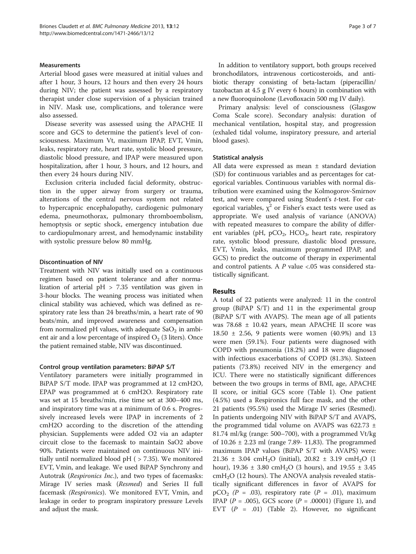# Measurements

Arterial blood gases were measured at initial values and after 1 hour, 3 hours, 12 hours and then every 24 hours during NIV; the patient was assessed by a respiratory therapist under close supervision of a physician trained in NIV. Mask use, complications, and tolerance were also assessed.

Disease severity was assessed using the APACHE II score and GCS to determine the patient's level of consciousness. Maximum Vt, maximum IPAP, EVT, Vmin, leaks, respiratory rate, heart rate, systolic blood pressure, diastolic blood pressure, and IPAP were measured upon hospitalization, after 1 hour, 3 hours, and 12 hours, and then every 24 hours during NIV.

Exclusion criteria included facial deformity, obstruction in the upper airway from surgery or trauma, alterations of the central nervous system not related to hypercapnic encephalopathy, cardiogenic pulmonary edema, pneumothorax, pulmonary thromboembolism, hemoptysis or septic shock, emergency intubation due to cardiopulmonary arrest, and hemodynamic instability with systolic pressure below 80 mmHg.

#### Discontinuation of NIV

Treatment with NIV was initially used on a continuous regimen based on patient tolerance and after normalization of arterial pH > 7.35 ventilation was given in 3-hour blocks. The weaning process was initiated when clinical stability was achieved, which was defined as respiratory rate less than 24 breaths/min, a heart rate of 90 beats/min, and improved awareness and compensation from normalized pH values, with adequate  $SaO<sub>2</sub>$  in ambient air and a low percentage of inspired  $O<sub>2</sub>$  (3 liters). Once the patient remained stable, NIV was discontinued.

#### Control group ventilation parameters: BiPAP S/T

Ventilatory parameters were initially programmed in BiPAP S/T mode. IPAP was programmed at 12 cmH2O, EPAP was programmed at 6 cmH2O. Respiratory rate was set at 15 breaths/min, rise time set at 300–400 ms, and inspiratory time was at a minimum of 0.6 s. Progressively increased levels were IPAP in increments of 2 cmH2O according to the discretion of the attending physician. Supplements were added O2 via an adapter circuit close to the facemask to maintain SaO2 above 90%. Patients were maintained on continuous NIV initially until normalized blood  $pH$  ( $> 7.35$ ). We monitored EVT, Vmin, and leakage. We used BiPAP Synchrony and Autotrak (Respironics Inc.), and two types of facemasks: Mirage IV series mask (Resmed) and Series II full facemask (Respironics). We monitored EVT, Vmin, and leakage in order to program inspiratory pressure Levels and adjust the mask.

In addition to ventilatory support, both groups received bronchodilators, intravenous corticosteroids, and antibiotic therapy consisting of beta-lactam (piperacillin/ tazobactan at 4.5 g IV every 6 hours) in combination with a new fluoroquinolone (Levofloxacin 500 mg IV daily).

Primary analysis: level of consciousness (Glasgow Coma Scale score). Secondary analysis: duration of mechanical ventilation, hospital stay, and progression (exhaled tidal volume, inspiratory pressure, and arterial blood gases).

#### Statistical analysis

All data were expressed as mean ± standard deviation (SD) for continuous variables and as percentages for categorical variables. Continuous variables with normal distribution were examined using the Kolmogorov-Smirnov test, and were compared using Student's t-test. For categorical variables,  $\chi^2$  or Fisher's exact tests were used as appropriate. We used analysis of variance (ANOVA) with repeated measures to compare the ability of different variables (pH,  $pCO<sub>2</sub>$ , HCO<sub>3</sub>, heart rate, respiratory rate, systolic blood pressure, diastolic blood pressure, EVT, Vmin, leaks, maximum programmed IPAP, and GCS) to predict the outcome of therapy in experimental and control patients. A P value <.05 was considered statistically significant.

#### Results

A total of 22 patients were analyzed: 11 in the control group (BiPAP S/T) and 11 in the experimental group (BiPAP S/T with AVAPS). The mean age of all patients was 78.68 ± 10.42 years, mean APACHE II score was 18.50 ± 2.56, 9 patients were women (40.9%) and 13 were men (59.1%). Four patients were diagnosed with COPD with pneumonia (18.2%) and 18 were diagnosed with infectious exacerbations of COPD (81.3%). Sixteen patients (73.8%) received NIV in the emergency and ICU. There were no statistically significant differences between the two groups in terms of BMI, age, APACHE II score, or initial GCS score (Table [1](#page-3-0)). One patient (4.5%) used a Respironics full face mask, and the other 21 patients (95.5%) used the Mirage IV series (Resmed). In patients undergoing NIV with BiPAP S/T and AVAPS, the programmed tidal volume on AVAPS was 622.73  $\pm$ 81.74 ml/kg (range: 500–700), with a programmed Vt/kg of 10.26 ± 2.23 ml (range 7.89- 11,83). The programmed maximum IPAP values (BiPAP S/T with AVAPS) were: 21.36  $\pm$  3.04 cmH<sub>2</sub>O (initial), 20.82  $\pm$  3.19 cmH<sub>2</sub>O (1) hour), 19.36  $\pm$  3.80 cmH<sub>2</sub>O (3 hours), and 19.55  $\pm$  3.45  $cmH<sub>2</sub>O$  (12 hours). The ANOVA analysis revealed statistically significant differences in favor of AVAPS for  $pCO_2$  (P = .03), respiratory rate (P = .01), maximum IPAP ( $P = .005$ ), GCS score ( $P = .00001$ ) (Figure [1\)](#page-3-0), and EVT  $(P = .01)$  (Table [2\)](#page-4-0). However, no significant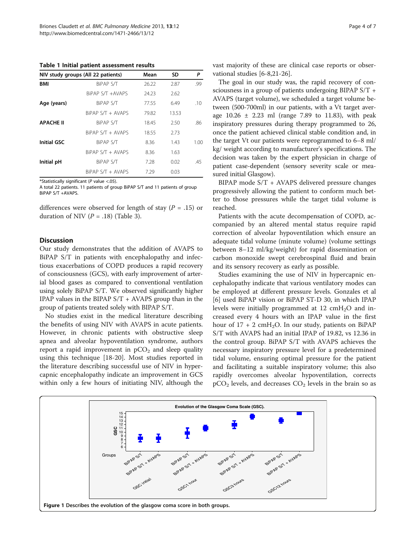<span id="page-3-0"></span>Table 1 Initial patient assessment results

|                  | NIV study groups (All 22 patients) | Mean  | SD    | P    |
|------------------|------------------------------------|-------|-------|------|
| <b>BMI</b>       | <b>BIPAP S/T</b>                   | 26.22 | 2.87  | .99  |
|                  | BiPAP S/T +AVAPS                   | 24.23 | 2.62  |      |
| Age (years)      | BiPAP S/T                          | 77.55 | 6.49  | .10  |
|                  | BiPAP S/T + AVAPS                  | 79.82 | 13.53 |      |
| <b>APACHE II</b> | BIPAP S/T                          | 18.45 | 2.50  | .86  |
|                  | $BiPAP S/T + AVAPS$                | 18.55 | 2.73  |      |
| Initial GSC      | BIPAP S/T                          | 8.36  | 1.43  | 1.00 |
|                  | $BiPAP S/T + AVAPS$                | 8.36  | 1.63  |      |
| Initial pH       | BIPAP S/T                          | 7.28  | 0.02  | .45  |
|                  | $BiPAP S/T + AVAPS$                | 7.29  | 0.03  |      |

\*Statistically significant (P value <.05).

A total 22 patients. 11 patients of group BiPAP S/T and 11 patients of group BiPAP S/T +AVAPS.

differences were observed for length of stay ( $P = .15$ ) or duration of NIV ( $P = .18$ ) (Table [3](#page-4-0)).

#### **Discussion**

Our study demonstrates that the addition of AVAPS to BiPAP S/T in patients with encephalopathy and infectious exacerbations of COPD produces a rapid recovery of consciousness (GCS), with early improvement of arterial blood gases as compared to conventional ventilation using solely BiPAP S/T. We observed significantly higher IPAP values in the BIPAP  $S/T + AVAPS$  group than in the group of patients treated solely with BIPAP S/T.

No studies exist in the medical literature describing the benefits of using NIV with AVAPS in acute patients. However, in chronic patients with obstructive sleep apnea and alveolar hypoventilation syndrome, authors report a rapid improvement in  $pCO<sub>2</sub>$  and sleep quality using this technique [[18-20](#page-6-0)]. Most studies reported in the literature describing successful use of NIV in hypercapnic encephalopathy indicate an improvement in GCS within only a few hours of initiating NIV, although the vast majority of these are clinical case reports or observational studies [\[6](#page-6-0)-[8](#page-6-0),[21-26\]](#page-6-0).

The goal in our study was, the rapid recovery of consciousness in a group of patients undergoing BIPAP S/T + AVAPS (target volume), we scheduled a target volume between (500-700ml) in our patients, with a Vt target average  $10.26 \pm 2.23$  ml (range 7.89 to 11.83), with peak inspiratory pressures during therapy programmed to 26, once the patient achieved clinical stable condition and, in the target Vt our patients were reprogrammed to 6–8 ml/ kg/ weight according to manufacturer's specifications. The decision was taken by the expert physician in charge of patient case-dependent (sensory severity scale or measured initial Glasgow).

BIPAP mode S/T + AVAPS delivered pressure changes progressively allowing the patient to conform much better to those pressures while the target tidal volume is reached.

Patients with the acute decompensation of COPD, accompanied by an altered mental status require rapid correction of alveolar hypoventilation which ensure an adequate tidal volume (minute volume) (volume settings between 8–12 ml/kg/weight) for rapid dissemination or carbon monoxide swept cerebrospinal fluid and brain and its sensory recovery as early as possible.

Studies examining the use of NIV in hypercapnic encephalopathy indicate that various ventilatory modes can be employed at different pressure levels. Gonzales et al [[6\]](#page-6-0) used BiPAP vision or BiPAP ST-D 30, in which IPAP levels were initially programmed at  $12 \text{ cm} + 10$  and increased every 4 hours with an IPAP value in the first hour of  $17 + 2$  cmH<sub>2</sub>O. In our study, patients on BiPAP S/T with AVAPS had an initial IPAP of 19.82, vs 12.36 in the control group. BiPAP S/T with AVAPS achieves the necessary inspiratory pressure level for a predetermined tidal volume, ensuring optimal pressure for the patient and facilitating a suitable inspiratory volume; this also rapidly overcomes alveolar hypoventilation, corrects  $pCO<sub>2</sub>$  levels, and decreases  $CO<sub>2</sub>$  levels in the brain so as

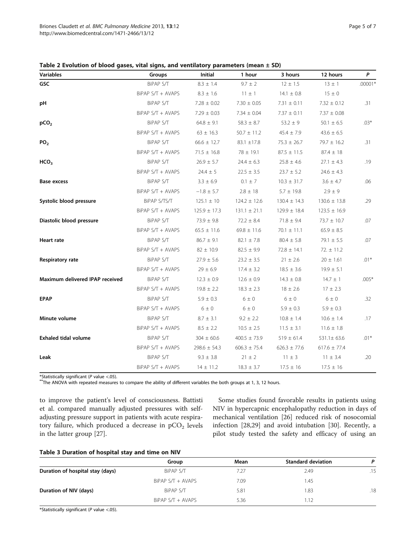| rage |                          | o |  |
|------|--------------------------|---|--|
|      | $\overline{\phantom{a}}$ |   |  |

<span id="page-4-0"></span>

| <b>Variables</b>                | Groups            | Initial          | 1 hour           | 3 hours            | 12 hours         | P         |
|---------------------------------|-------------------|------------------|------------------|--------------------|------------------|-----------|
| <b>GSC</b>                      | BiPAP S/T         | $8.3 \pm 1.4$    | $9.7 \pm 2$      | $12 \pm 1.5$       | $13 \pm 1$       | $.00001*$ |
|                                 | BiPAP S/T + AVAPS | $8.3 \pm 1.6$    | $11 \pm 1$       | $14.1 \pm 0.8$     | $15 \pm 0$       |           |
| рH                              | BiPAP S/T         | $7.28 \pm 0.02$  | $7.30 \pm 0.05$  | $7.31 \pm 0.11$    | $7.32 \pm 0.12$  | .31       |
|                                 | BiPAP S/T + AVAPS | $7.29 \pm 0.03$  | $7.34 \pm 0.04$  | $7.37 \pm 0.11$    | $7.37 \pm 0.08$  |           |
| pCO <sub>2</sub>                | BiPAP S/T         | $64.8 \pm 9.1$   | $58.3 \pm 8.7$   | $53.2 \pm 9$       | $50.1 \pm 6.5$   | $.03*$    |
|                                 | BiPAP S/T + AVAPS | $63 \pm 16.3$    | $50.7 \pm 11.2$  | $45.4 \pm 7.9$     | $43.6 \pm 6.5$   |           |
| PO <sub>2</sub>                 | BiPAP S/T         | $66.6 \pm 12.7$  | $83.1 \pm 17.8$  | $75.3 \pm 26.7$    | $79.7 \pm 16.2$  | .31       |
|                                 | BiPAP S/T + AVAPS | $71.5 \pm 16.8$  | $78 \pm 19.1$    | $87.5 \pm 11.5$    | $87.4 \pm 18$    |           |
| HCO <sub>3</sub>                | BiPAP S/T         | $26.9 \pm 5.7$   | $24.4 \pm 6.3$   | $25.8$ $\pm$ $4.6$ | $27.1 \pm 4.3$   | .19       |
|                                 | BiPAP S/T + AVAPS | $24.4 \pm 5$     | $22.5 \pm 3.5$   | $23.7 \pm 5.2$     | $24.6 \pm 4.3$   |           |
| <b>Base excess</b>              | BiPAP S/T         | $3.3 \pm 6.9$    | $0.1\,\pm\,7$    | $10.3 \pm 31.7$    | $3.6 \pm 4.7$    | .06       |
|                                 | BiPAP S/T + AVAPS | $-1.8 \pm 5.7$   | $2.8 \pm 18$     | $5.7 \pm 19.8$     | $2.9 \pm 9$      |           |
| Systolic blood pressure         | BiPAP S/TS/T      | $125.1 \pm 10$   | $124.2 \pm 12.6$ | $130.4 \pm 14.3$   | $130.6 \pm 13.8$ | .29       |
|                                 | BiPAP S/T + AVAPS | $125.9 \pm 17.3$ | $131.1 \pm 21.1$ | $129.9 \pm 18.4$   | $123.5 \pm 16.9$ |           |
| Diastolic blood pressure        | BiPAP S/T         | $73.9 \pm 9.8$   | $72.2 \pm 8.4$   | $71.8 \pm 9.4$     | $73.7 \pm 10.7$  | .07       |
|                                 | BiPAP S/T + AVAPS | $65.5 \pm 11.6$  | $69.8 \pm 11.6$  | $70.1 \pm 11.1$    | $65.9 \pm 8.5$   |           |
| <b>Heart rate</b>               | BiPAP S/T         | $86.7 \pm 9.1$   | $82.1\,\pm\,7.8$ | $80.4 \pm 5.8$     | $79.1 \pm 5.5$   | .07       |
|                                 | BiPAP S/T + AVAPS | $82 \pm 10.9$    | $82.5 \pm 9.9$   | $72.8 \pm 14.1$    | $72. \pm 11.2$   |           |
| Respiratory rate                | BiPAP S/T         | $27.9 \pm 5.6$   | $23.2 \pm 3.5$   | $21 \pm 2.6$       | $20 \pm 1.61$    | $.01*$    |
|                                 | BiPAP S/T + AVAPS | $29 \pm 6.9$     | $17.4 \pm 3.2$   | $18.5 \pm 3.6$     | $19.9 \pm 5.1$   |           |
| Maximum delivered IPAP received | BiPAP S/T         | $12.3 \pm 0.9$   | $12.6 \pm 0.9$   | $14.3 \pm 0.8$     | $14.7 \pm 1$     | $.005*$   |
|                                 | BiPAP S/T + AVAPS | $19.8 \pm 2.2$   | $18.3 \pm 2.3$   | $18 \pm 2.6$       | $17 \pm 2.3$     |           |
| <b>EPAP</b>                     | BiPAP S/T         | $5.9 \pm 0.3$    | $6\pm0$          | $6\pm0$            | $6 \pm 0$        | .32       |
|                                 | BiPAP S/T + AVAPS | $6 \pm 0$        | $6 \pm 0$        | $5.9 \pm 0.3$      | $5.9 \pm 0.3$    |           |
| Minute volume                   | BiPAP S/T         | $8.7 \pm 3.1$    | $9.2 \pm 2.2$    | $10.8 \pm 1.4$     | $10.6 \pm 1.4$   | .17       |
|                                 | BiPAP S/T + AVAPS | $8.5 \pm 2.2$    | $10.5 \pm 2.5$   | $11.5\,\pm\,3.1$   | $11.6\pm\,1.8$   |           |
| <b>Exhaled tidal volume</b>     | BiPAP S/T         | $304 \pm 60.6$   | $400.5 \pm 73.9$ | $519 \pm 61.4$     | $531.1 \pm 63.6$ | $.01*$    |
|                                 | BiPAP S/T + AVAPS | $298.6 \pm 54.3$ | $606.3 \pm 75.4$ | $626.3 \pm 77.6$   | $617.6 \pm 77.4$ |           |
| Leak                            | BiPAP S/T         | $9.3 \pm 3.8$    | $21 \pm 2$       | $11 \pm 3$         | $11 \pm 3.4$     | .20       |
|                                 | BiPAP S/T + AVAPS | $14 \pm 11.2$    | $18.3 \pm 3.7$   | $17.5 \pm 16$      | $17.5 \pm 16$    |           |

\*Statistically significant (P value <.05).  $\ddot{\hspace{1cm}}$  \*The ANOVA with repeated measures to compare the ability of different variables the both groups at 1, 3, 12 hours.

to improve the patient's level of consciousness. Battisti et al. compared manually adjusted pressures with selfadjusting pressure support in patients with acute respiratory failure, which produced a decrease in  $pCO<sub>2</sub>$  levels in the latter group [[27\]](#page-6-0).

Some studies found favorable results in patients using NIV in hypercapnic encephalopathy reduction in days of mechanical ventilation [[26\]](#page-6-0) reduced risk of nosocomial infection [\[28,29](#page-6-0)] and avoid intubation [\[30\]](#page-6-0). Recently, a pilot study tested the safety and efficacy of using an

# Table 3 Duration of hospital stay and time on NIV

|                                  | Group               | Mean | <b>Standard deviation</b> | P   |
|----------------------------------|---------------------|------|---------------------------|-----|
| Duration of hospital stay (days) | BiPAP S/T           | 7.27 | 2.49                      | .15 |
|                                  | $BiPAP S/T + AVAPS$ | 7.09 | 1.45                      |     |
| Duration of NIV (days)           | BiPAP S/T           | 5.81 | 1.83                      | .18 |
|                                  | $BiPAP S/T + AVAPS$ | 5.36 | 1.12                      |     |

\*Statistically significant ( $P$  value <.05).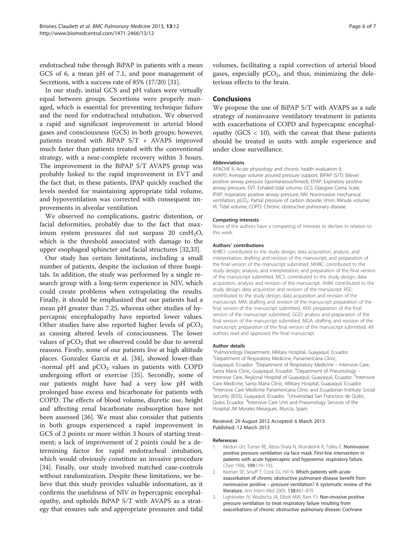<span id="page-5-0"></span>endotracheal tube through BiPAP in patients with a mean GCS of 6, a mean pH of 7.1, and poor management of Secretions, with a success rate of 85% (17/20) [\[31](#page-6-0)].

In our study, initial GCS and pH values were virtually equal between groups. Secretions were properly managed, which is essential for preventing technique failure and the need for endotracheal intubation. We observed a rapid and significant improvement in arterial blood gases and consciousness (GCS) in both groups; however, patients treated with BiPAP S/T + AVAPS improved much faster than patients treated with the conventional strategy, with a near-complete recovery within 3 hours. The improvement in the BiPAP S/T AVAPS group was probably linked to the rapid improvement in EVT and the fact that, in these patients, IPAP quickly reached the levels needed for maintaining appropriate tidal volume, and hypoventilation was corrected with consequent improvements in alveolar ventilation.

We observed no complications, gastric distention, or facial deformities, probably due to the fact that maximum system pressures did not surpass 20  $\text{cm}H_2\text{O}$ , which is the threshold associated with damage to the upper esophageal sphincter and facial structures [\[32,33](#page-6-0)].

Our study has certain limitations, including a small number of patients, despite the inclusion of three hospitals. In addition, the study was performed by a single research group with a long-term experience in NIV, which could create problems when extrapolating the results. Finally, it should be emphasized that our patients had a mean pH greater than 7.25, whereas other studies of hypercapnic encephalopathy have reported lower values. Other studies have also reported higher levels of  $pCO<sub>2</sub>$ as causing altered levels of consciousness. The lower values of  $pCO<sub>2</sub>$  that we observed could be due to several reasons. Firstly, some of our patients live at high altitude places. Gonzalez Garcia et al. [\[34\]](#page-6-0), showed lower-than -normal pH and  $pCO<sub>2</sub>$  values in patients with COPD undergoing effort or exercise [\[35\]](#page-6-0). Secondly, some of our patients might have had a very low pH with prolonged base excess and bicarbonate for patients with COPD. The effects of blood volume, diuretic use, height and affecting renal bicarbonate reabsorption have not been assessed [\[36\]](#page-6-0). We must also consider that patients in both groups experienced a rapid improvement in GCS of 2 points or more within 3 hours of starting treatment; a lack of improvement of 2 points could be a determining factor for rapid endotracheal intubation, which would obviously constitute an invasive procedure [[34\]](#page-6-0). Finally, our study involved matched case-controls without randomization. Despite these limitations, we believe that this study provides valuable information, as it confirms the usefulness of NIV in hypercapnic encephalopathy, and upholds BiPAP S/T with AVAPS as a strategy that ensures safe and appropriate pressures and tidal

volumes, facilitating a rapid correction of arterial blood gases, especially  $pCO<sub>2</sub>$ , and thus, minimizing the deleterious effects to the brain.

### Conclusions

We propose the use of BiPAP S/T with AVAPS as a safe strategy of noninvasive ventilatory treatment in patients with exacerbations of COPD and hypercapnic encephalopathy (GCS  $<$  10), with the caveat that these patients should be treated in units with ample experience and under close surveillance.

#### Abbreviations

APACHE II: Acute physiology and chronic health evaluation II; AVAPS: Average volume assured pressure support; BiPAP (S/T): Bilevel positive airway pressure (spontaneous/timed); EPAP: Expiratory positive airway pressure; EVT: Exhaled tidal volume; GCS: Glasgow Coma Scale; IPAP: Inspiratory positive airway pressure; NIV: Noninvasive mechanical ventilation; pCO<sub>2</sub>: Partial pressure of carbon dioxide; Vmin: Minute volume; Vt: Tidal volume; COPD: Chronic obstructive pulmonary disease.

#### Competing interests

None of the authors have a competing of interests to declare in relation to this work.

#### Authors' contributions

KHBCl: contributed to the study design; data acquisition, analysis, and interpretation; drafting and revision of the manuscript; and preparation of the final version of the manuscript submitted. MHBC: contributed to the study design; analysis, and interpretation; and preparation of the final version of the manuscript submitted. MCS: contributed to the study design; data acquisition, analysis and revision of the manuscript. ANM: contributed to the study design; data acquisition and revision of the manuscript. RSE: contributed to the study design; data acquisition and revision of the manuscript. MM: drafting and revision of the manuscript preparation of the final version of the manuscript submitted. AER: preparation of the final version of the manuscript submitted. GGD: analysis and preparation of the final version of the manuscript submitted. MGA: drafting and revision of the manuscript; preparation of the final version of the manuscript submitted. All authors read and approved the final manuscript.

#### Author details

1 Pulmonology Department, Military Hospital, Guayaquil, Ecuador. 2 Department of Respiratory Medicine, Panamericana Clinic, Guayaquil, Ecuador. <sup>3</sup>Department of Respiratory Medicine - Intensive Care Santa Maria Clinic, Guayaquil, Ecuador. <sup>4</sup>Department of Pneumology -Intensive Care, Regional Hospital of Guayaquil, Guayaquil, Ecuador. <sup>5</sup>Intensive Care Medicine, Santa Maria Clinic, Military Hospital, Guayaquil, Ecuador. <sup>6</sup>Intensive Care Medicine Panamericana Clinic and Ecuadorian Institute Social Security (IESS), Guayaquil, Ecuador. <sup>7</sup>Universidad San Francisco de Quito, Quito, Ecuador. <sup>8</sup>Intensive Care Unit and Pneumology Services of the Hospital JM Morales Meseguer, Murcia, Spain.

#### Received: 29 August 2012 Accepted: 6 March 2013 Published: 12 March 2013

#### References

- 1. Meduri GH, Turner RE, Abou-Shala N, Wunderink R, Tolley E: Noninvasive positive pressure ventilation via face mask. First-line intervention in patients with acute hypercapnic and hypoxemic respiratory failure. Chest 1996, 109:179–193.
- 2. Keenan SP, Sinuff T, Cook DJ, Hill N: Which patients with acute exacerbation of chronic obstructive pulmonare disease benefit from noninvasive positive – pressure ventilation? A systematic review of the literature. Ann Intern Med 2003, 138:861–870.
- 3. Lightowler JV, Wedzicha JA, Elliott MW, Ram FS: Non-invasive positive pressure ventilation to treat respiratory failure resulting from exacerbations of chronic obstructive pulmonary disease: Cochrane